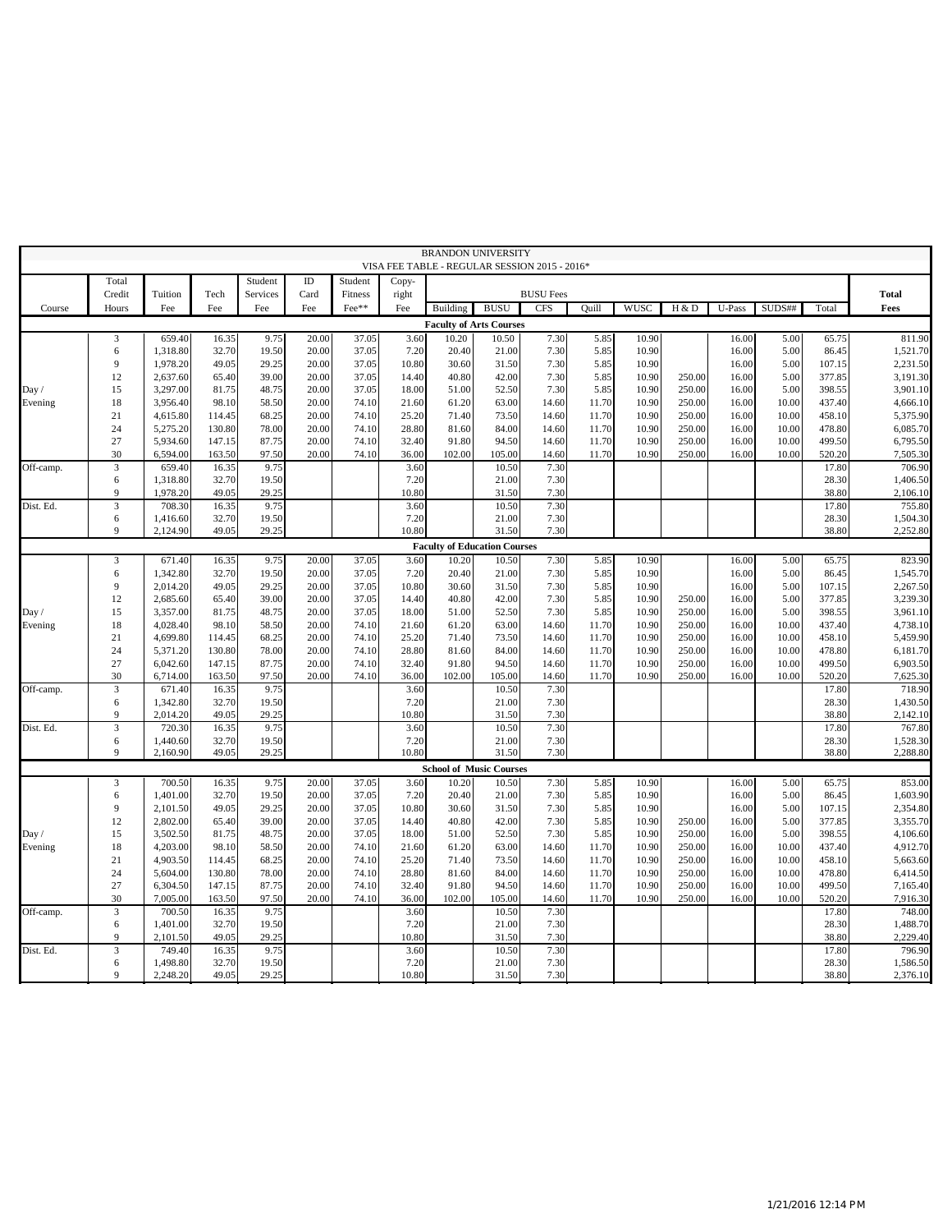|           |                 |                      |                  |                     |                |                    |                | <b>BRANDON UNIVERSITY</b>                     |                |                  |                |                |                  |                |                |                  |                      |
|-----------|-----------------|----------------------|------------------|---------------------|----------------|--------------------|----------------|-----------------------------------------------|----------------|------------------|----------------|----------------|------------------|----------------|----------------|------------------|----------------------|
|           |                 |                      |                  |                     | ID             |                    |                | VISA FEE TABLE - REGULAR SESSION 2015 - 2016* |                |                  |                |                |                  |                |                |                  |                      |
|           | Total<br>Credit | Tuition              | Tech             | Student<br>Services | Card           | Student<br>Fitness | Copy-<br>right |                                               |                | <b>BUSU Fees</b> |                |                |                  |                |                |                  | <b>Total</b>         |
| Course    | Hours           | Fee                  | Fee              | Fee                 | Fee            | Fee**              | Fee            | <b>Building</b>                               | <b>BUSU</b>    | <b>CFS</b>       | <b>Quill</b>   | WUSC           | H & D            | U-Pass         | SUDS##         | Total            | Fees                 |
|           |                 |                      |                  |                     |                |                    |                | <b>Faculty of Arts Courses</b>                |                |                  |                |                |                  |                |                |                  |                      |
|           | 3               | 659.40               | 16.35            | 9.75                | 20.00          | 37.05              | 3.60           | 10.20                                         | 10.50          | 7.30             | 5.85           | 10.90          |                  | 16.00          | 5.00           | 65.75            | 811.90               |
|           | 6               | 1,318.80             | 32.70            | 19.50               | 20.00          | 37.05              | 7.20           | 20.40                                         | 21.00          | 7.30             | 5.85           | 10.90          |                  | 16.00          | 5.00           | 86.45            | 1,521.70             |
|           | 9               | 1,978.20             | 49.05            | 29.25               | 20.00          | 37.05              | 10.80          | 30.60                                         | 31.50          | 7.30             | 5.85           | 10.90          |                  | 16.00          | 5.00           | 107.15           | 2,231.50             |
|           | 12              | 2,637.60             | 65.40            | 39.00               | 20.00          | 37.05              | 14.40          | 40.80                                         | 42.00          | 7.30             | 5.85           | 10.90          | 250.00           | 16.00          | 5.00           | 377.85           | 3,191.30             |
| Day /     | 15              | 3,297.00             | 81.75            | 48.75               | 20.00          | 37.05              | 18.00          | 51.00                                         | 52.50          | 7.30             | 5.85           | 10.90          | 250.00           | 16.00          | 5.00           | 398.55           | 3,901.10             |
| Evening   | 18              | 3,956.40             | 98.10            | 58.50               | 20.00          | 74.10              | 21.60          | 61.20                                         | 63.00          | 14.60            | 11.70          | 10.90          | 250.00           | 16.00          | 10.00          | 437.40           | 4,666.10             |
|           | 21              | 4,615.80             | 114.45           | 68.25               | 20.00          | 74.10              | 25.20          | 71.40                                         | 73.50          | 14.60            | 11.70          | 10.90          | 250.00           | 16.00          | 10.00          | 458.10           | 5,375.90             |
|           | 24              | 5,275.20             | 130.80           | 78.00               | 20.00          | 74.10              | 28.80          | 81.60                                         | 84.00          | 14.60            | 11.70          | 10.90          | 250.00           | 16.00          | 10.00          | 478.80           | 6,085.70             |
|           | 27              | 5,934.60             | 147.15           | 87.75               | 20.00          | 74.10              | 32.40          | 91.80                                         | 94.50          | 14.60            | 11.70          | 10.90          | 250.00           | 16.00          | 10.00          | 499.50           | 6,795.50             |
|           | 30              | 6,594.00             | 163.50           | 97.50               | 20.00          | 74.10              | 36.00          | 102.00                                        | 105.00         | 14.60            | 11.70          | 10.90          | 250.00           | 16.00          | 10.00          | 520.20           | 7,505.30             |
| Off-camp. | $\mathfrak{Z}$  | 659.40               | 16.35<br>32.70   | 9.75<br>19.50       |                |                    | 3.60<br>7.20   |                                               | 10.50<br>21.00 | 7.30<br>7.30     |                |                |                  |                |                | 17.80            | 706.90               |
|           | 6<br>9          | 1,318.80<br>1,978.20 | 49.05            | 29.25               |                |                    | 10.80          |                                               | 31.50          | 7.30             |                |                |                  |                |                | 28.30<br>38.80   | 1,406.50<br>2,106.10 |
| Dist. Ed. | 3               | 708.30               | 16.35            | 9.75                |                |                    | 3.60           |                                               | 10.50          | 7.30             |                |                |                  |                |                | 17.80            | 755.80               |
|           | 6               | 1,416.60             | 32.70            | 19.50               |                |                    | 7.20           |                                               | 21.00          | 7.30             |                |                |                  |                |                | 28.30            | 1,504.30             |
|           | 9               | 2,124.90             | 49.05            | 29.25               |                |                    | 10.80          |                                               | 31.50          | 7.30             |                |                |                  |                |                | 38.80            | 2,252.80             |
|           |                 |                      |                  |                     |                |                    |                | <b>Faculty of Education Courses</b>           |                |                  |                |                |                  |                |                |                  |                      |
|           | 3               | 671.40               | 16.35            | 9.75                | 20.00          | 37.05              | 3.60           | 10.20                                         | 10.50          | 7.30             | 5.85           | 10.90          |                  | 16.00          | 5.00           | 65.75            | 823.90               |
|           | 6               | 1,342.80             | 32.70            | 19.50               | 20.00          | 37.05              | 7.20           | 20.40                                         | 21.00          | 7.30             | 5.85           | 10.90          |                  | 16.00          | 5.00           | 86.45            | 1,545.70             |
|           | 9               | 2,014.20             | 49.05            | 29.25               | 20.00          | 37.05              | 10.80          | 30.60                                         | 31.50          | 7.30             | 5.85           | 10.90          |                  | 16.00          | 5.00           | 107.15           | 2,267.50             |
|           | 12              | 2,685.60             | 65.40            | 39.00               | 20.00          | 37.05              | 14.40          | 40.80                                         | 42.00          | 7.30             | 5.85           | 10.90          | 250.00           | 16.00          | 5.00           | 377.85           | 3,239.30             |
| Day/      | 15              | 3,357.00             | 81.75            | 48.75               | 20.00          | 37.05              | 18.00          | 51.00                                         | 52.50          | 7.30             | 5.85           | 10.90          | 250.00           | 16.00          | 5.00           | 398.55           | 3,961.10             |
| Evening   | 18              | 4,028.40             | 98.10            | 58.50               | 20.00          | 74.10              | 21.60          | 61.20                                         | 63.00          | 14.60            | 11.70          | 10.90          | 250.00           | 16.00          | 10.00          | 437.40           | 4,738.10             |
|           | 21              | 4,699.80             | 114.45           | 68.25               | 20.00          | 74.10              | 25.20          | 71.40                                         | 73.50          | 14.60            | 11.70          | 10.90          | 250.00           | 16.00          | 10.00          | 458.10           | 5,459.90             |
|           | 24<br>27        | 5,371.20             | 130.80           | 78.00               | 20.00          | 74.10              | 28.80          | 81.60                                         | 84.00<br>94.50 | 14.60            | 11.70          | 10.90          | 250.00           | 16.00          | 10.00          | 478.80           | 6,181.70             |
|           | 30              | 6,042.60<br>6,714.00 | 147.15<br>163.50 | 87.75<br>97.50      | 20.00<br>20.00 | 74.10<br>74.10     | 32.40<br>36.00 | 91.80<br>102.00                               | 105.00         | 14.60<br>14.60   | 11.70<br>11.70 | 10.90<br>10.90 | 250.00<br>250.00 | 16.00<br>16.00 | 10.00<br>10.00 | 499.50<br>520.20 | 6,903.50<br>7,625.30 |
| Off-camp. | $\mathfrak{Z}$  | 671.40               | 16.35            | 9.75                |                |                    | 3.60           |                                               | 10.50          | 7.30             |                |                |                  |                |                | 17.80            | 718.90               |
|           | 6               | 1,342.80             | 32.70            | 19.50               |                |                    | 7.20           |                                               | 21.00          | 7.30             |                |                |                  |                |                | 28.30            | 1,430.50             |
|           | 9               | 2,014.20             | 49.05            | 29.25               |                |                    | 10.80          |                                               | 31.50          | 7.30             |                |                |                  |                |                | 38.80            | 2,142.10             |
| Dist. Ed. | 3               | 720.30               | 16.35            | 9.75                |                |                    | 3.60           |                                               | 10.50          | 7.30             |                |                |                  |                |                | 17.80            | 767.80               |
|           | 6               | 1,440.60             | 32.70            | 19.50               |                |                    | 7.20           |                                               | 21.00          | 7.30             |                |                |                  |                |                | 28.30            | 1,528.30             |
|           | 9               | 2,160.90             | 49.05            | 29.25               |                |                    | 10.80          |                                               | 31.50          | 7.30             |                |                |                  |                |                | 38.80            | 2,288.80             |
|           |                 |                      |                  |                     |                |                    |                | <b>School of Music Courses</b>                |                |                  |                |                |                  |                |                |                  |                      |
|           | 3               | 700.50               | 16.35            | 9.75                | 20.00          | 37.05              | 3.60           | 10.20                                         | 10.50          | 7.30             | 5.85           | 10.90          |                  | 16.00          | 5.00           | 65.75            | 853.00               |
|           | 6               | 1,401.00             | 32.70            | 19.50               | 20.00          | 37.05              | 7.20           | 20.40                                         | 21.00          | 7.30             | 5.85           | 10.90          |                  | 16.00          | 5.00           | 86.45            | 1,603.90             |
|           | 9               | 2,101.50             | 49.05            | 29.25               | 20.00          | 37.05              | 10.80          | 30.60                                         | 31.50          | 7.30             | 5.85           | 10.90          |                  | 16.00          | 5.00           | 107.15           | 2,354.80             |
|           | 12              | 2,802.00             | 65.40            | 39.00               | 20.00          | 37.05              | 14.40          | 40.80                                         | 42.00          | 7.30             | 5.85           | 10.90          | 250.00           | 16.00          | 5.00           | 377.85           | 3,355.70             |
| Day /     | 15              | 3,502.50             | 81.75            | 48.75               | 20.00          | 37.05              | 18.00          | 51.00                                         | 52.50          | 7.30             | 5.85           | 10.90          | 250.00           | 16.00          | 5.00           | 398.55           | 4,106.60             |
| Evening   | 18              | 4,203.00             | 98.10            | 58.50               | 20.00          | 74.10              | 21.60          | 61.20                                         | 63.00          | 14.60            | 11.70          | 10.90          | 250.00           | 16.00          | 10.00          | 437.40           | 4,912.70             |
|           | 21              | 4,903.50             | 114.45           | 68.25<br>78.00      | 20.00          | 74.10              | 25.20          | 71.40                                         | 73.50          | 14.60            | 11.70          | 10.90          | 250.00           | 16.00          | 10.00          | 458.10           | 5,663.60             |
|           | 24<br>27        | 5,604.00<br>6,304.50 | 130.80<br>147.15 | 87.75               | 20.00<br>20.00 | 74.10<br>74.10     | 28.80<br>32.40 | 81.60<br>91.80                                | 84.00<br>94.50 | 14.60<br>14.60   | 11.70<br>11.70 | 10.90<br>10.90 | 250.00<br>250.00 | 16.00<br>16.00 | 10.00<br>10.00 | 478.80<br>499.50 | 6,414.50<br>7,165.40 |
|           | 30              | 7,005.00             | 163.50           | 97.50               | 20.00          | 74.10              | 36.00          | 102.00                                        | 105.00         | 14.60            | 11.70          | 10.90          | 250.00           | 16.00          | 10.00          | 520.20           | 7,916.30             |
| Off-camp. | $\mathfrak{Z}$  | 700.50               | 16.35            | 9.75                |                |                    | 3.60           |                                               | 10.50          | 7.30             |                |                |                  |                |                | 17.80            | 748.00               |
|           | 6               | 1,401.00             | 32.70            | 19.50               |                |                    | 7.20           |                                               | 21.00          | 7.30             |                |                |                  |                |                | 28.30            | 1,488.70             |
|           | 9               | 2,101.50             | 49.05            | 29.25               |                |                    | 10.80          |                                               | 31.50          | 7.30             |                |                |                  |                |                | 38.80            | 2,229.40             |
| Dist. Ed. | 3               | 749.40               | 16.35            | 9.75                |                |                    | 3.60           |                                               | 10.50          | 7.30             |                |                |                  |                |                | 17.80            | 796.90               |
|           | 6               | 1,498.80             | 32.70            | 19.50               |                |                    | 7.20           |                                               | 21.00          | 7.30             |                |                |                  |                |                | 28.30            | 1,586.50             |
|           | 9               | 2,248.20             | 49.05            | 29.25               |                |                    | 10.80          |                                               | 31.50          | 7.30             |                |                |                  |                |                | 38.80            | 2,376.10             |